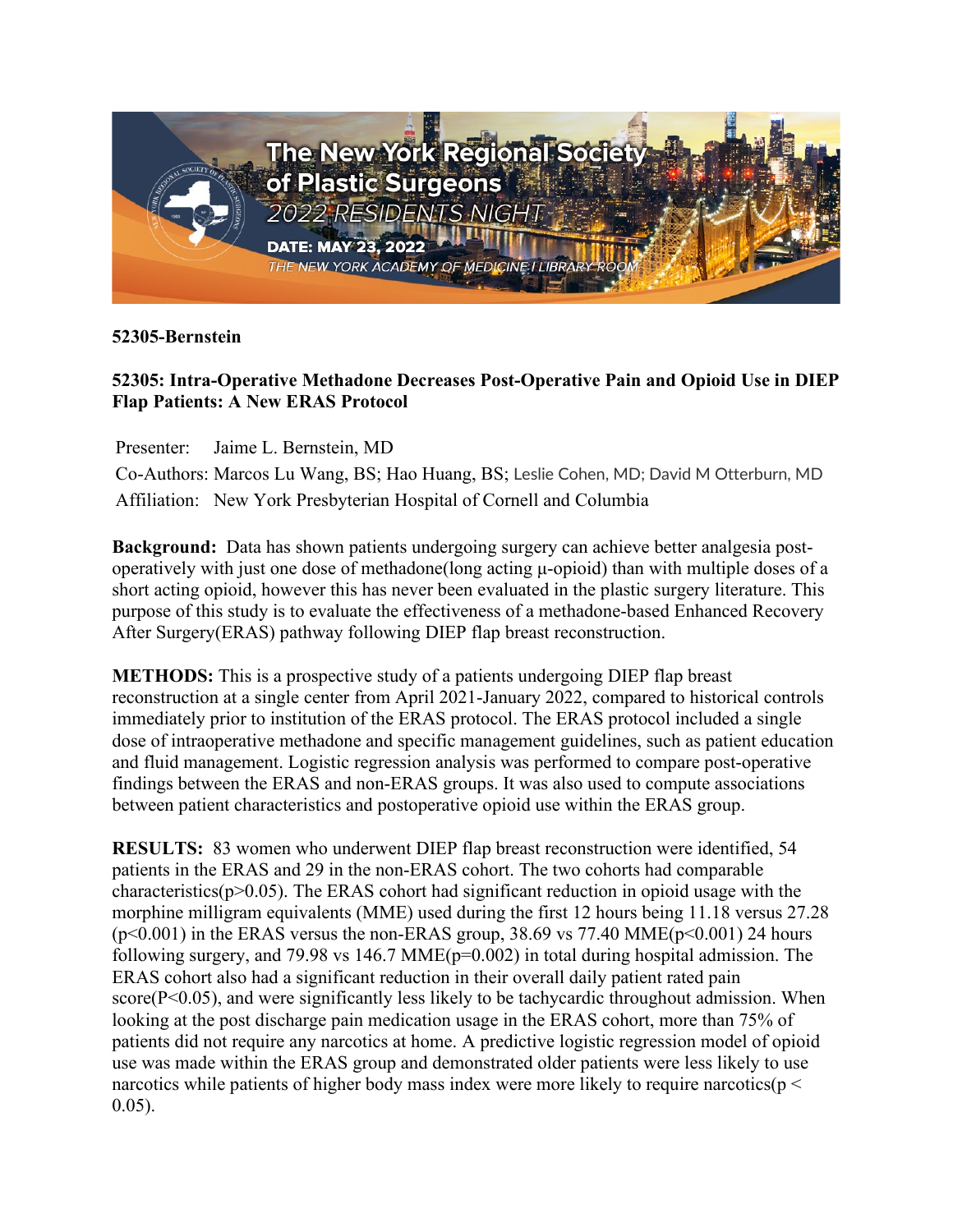

## **52305-Bernstein**

## **52305: Intra-Operative Methadone Decreases Post-Operative Pain and Opioid Use in DIEP Flap Patients: A New ERAS Protocol**

Presenter: Jaime L. Bernstein, MD

Co-Authors: Marcos Lu Wang, BS; Hao Huang, BS; Leslie Cohen, MD; David M Otterburn, MD Affiliation: New York Presbyterian Hospital of Cornell and Columbia

**Background:** Data has shown patients undergoing surgery can achieve better analgesia postoperatively with just one dose of methadone(long acting μ-opioid) than with multiple doses of a short acting opioid, however this has never been evaluated in the plastic surgery literature. This purpose of this study is to evaluate the effectiveness of a methadone-based Enhanced Recovery After Surgery(ERAS) pathway following DIEP flap breast reconstruction.

**METHODS:** This is a prospective study of a patients undergoing DIEP flap breast reconstruction at a single center from April 2021-January 2022, compared to historical controls immediately prior to institution of the ERAS protocol. The ERAS protocol included a single dose of intraoperative methadone and specific management guidelines, such as patient education and fluid management. Logistic regression analysis was performed to compare post-operative findings between the ERAS and non-ERAS groups. It was also used to compute associations between patient characteristics and postoperative opioid use within the ERAS group.

**RESULTS:** 83 women who underwent DIEP flap breast reconstruction were identified, 54 patients in the ERAS and 29 in the non-ERAS cohort. The two cohorts had comparable characteristics( $p > 0.05$ ). The ERAS cohort had significant reduction in opioid usage with the morphine milligram equivalents (MME) used during the first 12 hours being 11.18 versus 27.28  $(p<0.001)$  in the ERAS versus the non-ERAS group, 38.69 vs 77.40 MME $(p<0.001)$  24 hours following surgery, and 79.98 vs 146.7 MME( $p=0.002$ ) in total during hospital admission. The ERAS cohort also had a significant reduction in their overall daily patient rated pain score( $P<0.05$ ), and were significantly less likely to be tachycardic throughout admission. When looking at the post discharge pain medication usage in the ERAS cohort, more than 75% of patients did not require any narcotics at home. A predictive logistic regression model of opioid use was made within the ERAS group and demonstrated older patients were less likely to use narcotics while patients of higher body mass index were more likely to require narcotics( $p <$ 0.05).